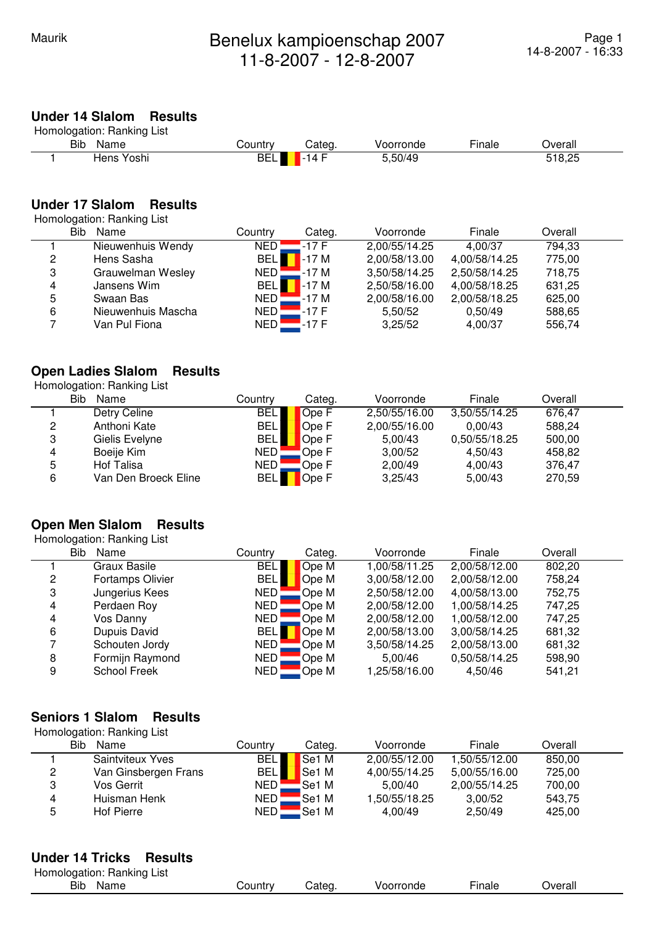# **Under 14 Slalom Results**

|     | Homologation: Ranking List |             |        |           |        |         |
|-----|----------------------------|-------------|--------|-----------|--------|---------|
| Bib | Name                       | Countrv     | Categ. | Voorronde | Finale | Dverall |
|     | Hens Yoshi                 | <b>BELI</b> | $-14F$ | 5,50/49   |        | 518.25  |

### **Under 17 Slalom Results**

Homologation: Ranking List

|   | <b>Bib</b><br>Name | Country            | Categ. | Voorronde     | Finale        | Overall |  |
|---|--------------------|--------------------|--------|---------------|---------------|---------|--|
|   | Nieuwenhuis Wendy  | NED !              | .-17 F | 2,00/55/14.25 | 4.00/37       | 794,33  |  |
| 2 | Hens Sasha         | <b>BEL</b>         | $-17M$ | 2,00/58/13.00 | 4,00/58/14.25 | 775,00  |  |
| 3 | Grauwelman Wesley  | $NED$ $\square$    | -17 M  | 3,50/58/14.25 | 2,50/58/14.25 | 718,75  |  |
| 4 | Jansens Wim        | <b>BEL</b>         | $-17M$ | 2,50/58/16.00 | 4,00/58/18.25 | 631,25  |  |
| 5 | Swaan Bas          | NED <mark>-</mark> | -17 M  | 2,00/58/16.00 | 2,00/58/18.25 | 625,00  |  |
| 6 | Nieuwenhuis Mascha | NED <b>L</b>       | $-17F$ | 5,50/52       | 0.50/49       | 588,65  |  |
|   | Van Pul Fiona      | NED <mark>-</mark> | -17 F  | 3,25/52       | 4,00/37       | 556,74  |  |

#### **Open Ladies Slalom Results**

Homologation: Ranking List

|   | Bib<br>Name          | Countrv    | Categ. | Voorronde     | Finale        | Overall |  |
|---|----------------------|------------|--------|---------------|---------------|---------|--|
|   | Detry Celine         | <b>BEL</b> | Ope F  | 2,50/55/16.00 | 3,50/55/14.25 | 676,47  |  |
| 2 | Anthoni Kate         | <b>BEL</b> | Ope F  | 2,00/55/16.00 | 0.00/43       | 588,24  |  |
| 3 | Gielis Evelyne       | <b>BEL</b> | Ope F  | 5.00/43       | 0,50/55/18.25 | 500,00  |  |
| 4 | Boeije Kim           | NED!       | Ope F  | 3,00/52       | 4.50/43       | 458,82  |  |
| 5 | Hof Talisa           | NED        | Ope F  | 2,00/49       | 4.00/43       | 376,47  |  |
| 6 | Van Den Broeck Eline | <b>BEL</b> | Ope F  | 3,25/43       | 5,00/43       | 270,59  |  |

#### **Open Men Slalom Results**

 Homologation: Ranking List Bib Name Country Categ. Voorronde Finale Overall 1 Graux Basile BEL Ope M 1,00/58/11.25 2,00/58/12.00 802,20 2 Fortamps Olivier BEL Ope M 3,00/58/12.00 2,00/58/12.00 758,24 3 Jungerius Kees NED Ope M 2,50/58/12.00 4,00/58/13.00 752,75 4 Perdaen Roy NED Ope M 2,00/58/12.00 1,00/58/14.25 747,25 NED Ope M 2,00/58/12.00 1,00/58/12.00 747,25 6 Dupuis David BEL Ope M 2,00/58/13.00 3,00/58/14.25 681,32 7 Schouten Jordy **NED** Ope M 3,50/58/14.25 2,00/58/13.00 681,32 8 Formijn Raymond NED Ope M 5,00/46 0,50/58/14.25 598,90 9 School Freek NED Ope M 1,25/58/16.00 4,50/46 541,21

#### **Seniors 1 Slalom Results**

 Homologation: Ranking List Bib Name Country Categ. Voorronde Finale Overall 1 Saintviteux Yves BEL Se1 M 2,00/55/12.00 1,50/55/12.00 850,00 2 Van Ginsbergen Frans BEL Se1 M 4,00/55/14.25 5,00/55/16.00 725,00<br>3 Vos Gerrit MED Se1 M 5,00/40 2,00/55/14.25 700,00 3 Vos Gerrit NED Se1 M 5,00/40 2,00/55/14.25 700,00 4 Huisman Henk NED Se1 M 1,50/55/18.25 3,00/52 543,75 5 Hof Pierre NED Se1 M 4,00/49 2,50/49 425,00

#### **Under 14 Tricks Results**

| Homologation: Ranking List |         |       |          |        |         |
|----------------------------|---------|-------|----------|--------|---------|
| <b>Bib</b><br>Name         | شountr∨ | ∵ateɑ | oorronde | Linale | )verall |
|                            |         |       |          |        |         |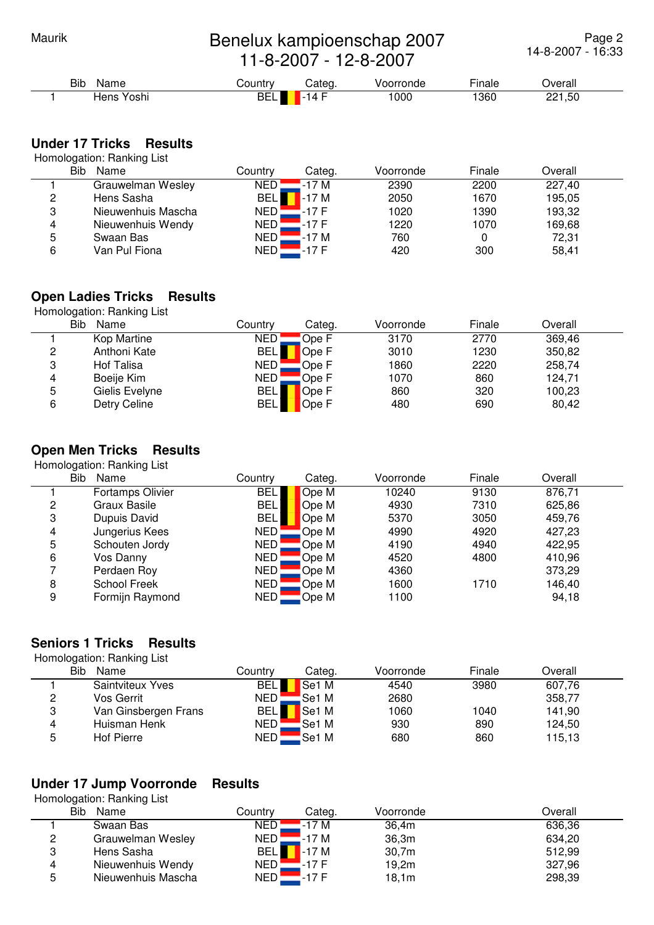# Maurik **Benelux kampioenschap 2007** 11-8-2007 - 12-8-2007

Page 2 14-8-2007 - 16:33

Bib Name **Country** Categ. Voorronde Finale Overall 1 Hens Yoshi BEL -14 F 1000 1360 221,50

## **Under 17 Tricks Results**

Homologation: Ranking List

|   | Bib<br>Name        | Countrv    | Categ. | Voorronde | Finale | Overall |  |
|---|--------------------|------------|--------|-----------|--------|---------|--|
|   | Grauwelman Wesley  | <b>NED</b> | -17 M  | 2390      | 2200   | 227,40  |  |
| C | Hens Sasha         | <b>BEL</b> | $-17M$ | 2050      | 1670   | 195,05  |  |
| 3 | Nieuwenhuis Mascha | NED        | -17 F  | 1020      | 1390   | 193,32  |  |
| 4 | Nieuwenhuis Wendy  | NED :      | -17 F  | 1220      | 1070   | 169,68  |  |
| 5 | Swaan Bas          | <b>NED</b> | -17 M  | 760       |        | 72,31   |  |
| 6 | Van Pul Fiona      | <b>NED</b> | $-17F$ | 420       | 300    | 58,41   |  |

# **Open Ladies Tricks Results**

Homologation: Ranking List

|   | Bib<br>Name    | Countrv    | Categ. | Voorronde | Finale | Overall |  |
|---|----------------|------------|--------|-----------|--------|---------|--|
|   | Kop Martine    | NED.       | Ope F  | 3170      | 2770   | 369,46  |  |
| 2 | Anthoni Kate   | <b>BEL</b> | Ope F  | 3010      | 1230   | 350,82  |  |
| 3 | Hof Talisa     | NED        | Ope F  | 1860      | 2220   | 258,74  |  |
| 4 | Boeije Kim     | <b>NED</b> | Ope F  | 1070      | 860    | 124,71  |  |
| 5 | Gielis Evelyne | <b>BEL</b> | Ope F  | 860       | 320    | 100,23  |  |
| 6 | Detry Celine   | <b>BEL</b> | Ope F  | 480       | 690    | 80,42   |  |

# **Open Men Tricks Results**

Homologation: Ranking List

|   | Bib<br>Name             | Countrv    | Categ. | Voorronde | Finale | Overall |  |
|---|-------------------------|------------|--------|-----------|--------|---------|--|
|   | <b>Fortamps Olivier</b> | <b>BEL</b> | Ope M  | 10240     | 9130   | 876,71  |  |
| 2 | Graux Basile            | <b>BEL</b> | Ope M  | 4930      | 7310   | 625,86  |  |
| 3 | Dupuis David            | <b>BEL</b> | Ope M  | 5370      | 3050   | 459,76  |  |
| 4 | Jungerius Kees          | NED!       | Ope M  | 4990      | 4920   | 427,23  |  |
| 5 | Schouten Jordy          | NED        | Ope M  | 4190      | 4940   | 422,95  |  |
| 6 | Vos Danny               | NED !      | Ope M  | 4520      | 4800   | 410,96  |  |
|   | Perdaen Roy             | NED        | Ope M  | 4360      |        | 373,29  |  |
| 8 | <b>School Freek</b>     | <b>NED</b> | Ope M  | 1600      | 1710   | 146,40  |  |
| 9 | Formijn Raymond         | NED¦       | Ope M  | 1100      |        | 94,18   |  |

## **Seniors 1 Tricks Results**

Homologation: Ranking List

|   | . .<br>Bib<br>Name   | Countrv          | Categ.            | Voorronde | Finale | Overall |  |
|---|----------------------|------------------|-------------------|-----------|--------|---------|--|
|   | Saintviteux Yves     | <b>BEL</b>       | Se <sub>1</sub> M | 4540      | 3980   | 607,76  |  |
| 2 | Vos Gerrit           | NED !            | Se1 M             | 2680      |        | 358,77  |  |
| 3 | Van Ginsbergen Frans | <b>BEL</b>       | Se <sub>1</sub> M | 1060      | 1040   | 141,90  |  |
| 4 | Huisman Henk         | NED.             | Se1 M             | 930       | 890    | 124,50  |  |
| 5 | <b>Hof Pierre</b>    | NED <sup>'</sup> | Se1 M             | 680       | 860    | 115,13  |  |

# **Under 17 Jump Voorronde Results**

Homologation: Ranking List

|   | Bib<br>Name        | Countrv    | Categ. | Voorronde | Overall |
|---|--------------------|------------|--------|-----------|---------|
|   | Swaan Bas          | NED        | -17 M  | 36,4m     | 636,36  |
| 2 | Grauwelman Wesley  | NED        | -17 M  | 36,3m     | 634,20  |
| 3 | Hens Sasha         | <b>BEL</b> | $-17M$ | 30,7m     | 512,99  |
| 4 | Nieuwenhuis Wendy  | NED        | -17 F  | 19,2m     | 327,96  |
| 5 | Nieuwenhuis Mascha | NED        | -17 F  | 18,1m     | 298,39  |